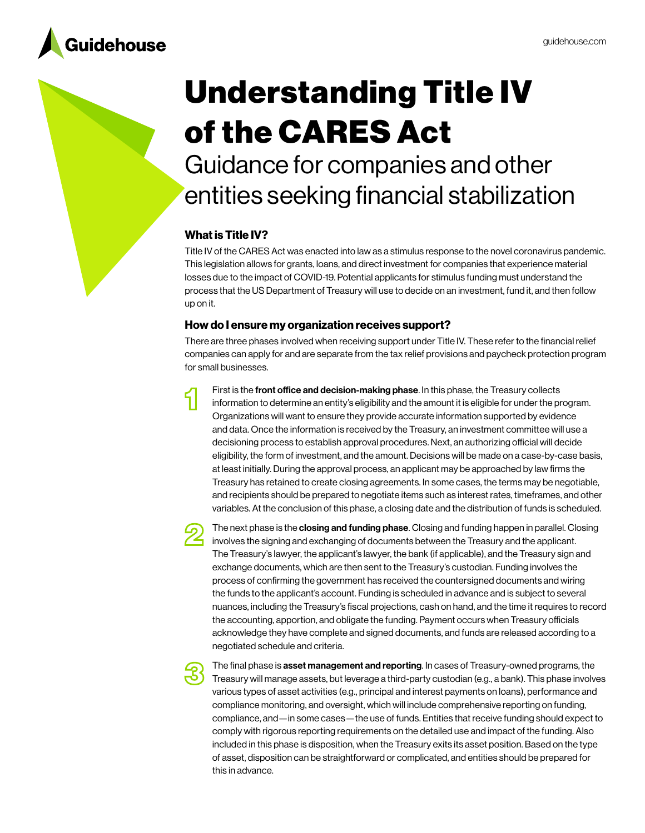

# Understanding Title IV of the CARES Act

Guidance for companies and other entities seeking financial stabilization

# What is Title IV?

Title IV of the CARES Act was enacted into law as a stimulus response to the novel coronavirus pandemic. This legislation allows for grants, loans, and direct investment for companies that experience material losses due to the impact of COVID-19. Potential applicants for stimulus funding must understand the process that the US Department of Treasury will use to decide on an investment, fund it, and then follow up on it.

## How do I ensure my organization receives support?

There are three phases involved when receiving support under Title IV. These refer to the financial relief companies can apply for and are separate from the tax relief provisions and paycheck protection program for small businesses.

First is the front office and decision-making phase. In this phase, the Treasury collects information to determine an entity's eligibility and the amount it is eligible for under the program. Organizations will want to ensure they provide accurate information supported by evidence and data. Once the information is received by the Treasury, an investment committee will use a decisioning process to establish approval procedures. Next, an authorizing official will decide eligibility, the form of investment, and the amount. Decisions will be made on a case-by-case basis, at least initially. During the approval process, an applicant may be approached by law firms the Treasury has retained to create closing agreements. In some cases, the terms may be negotiable, and recipients should be prepared to negotiate items such as interest rates, timeframes, and other variables. At the conclusion of this phase, a closing date and the distribution of funds is scheduled.



The next phase is the **closing and funding phase**. Closing and funding happen in parallel. Closing involves the signing and exchanging of documents between the Treasury and the applicant. The Treasury's lawyer, the applicant's lawyer, the bank (if applicable), and the Treasury sign and exchange documents, which are then sent to the Treasury's custodian. Funding involves the process of confirming the government has received the countersigned documents and wiring the funds to the applicant's account. Funding is scheduled in advance and is subject to several nuances, including the Treasury's fiscal projections, cash on hand, and the time it requires to record the accounting, apportion, and obligate the funding. Payment occurs when Treasury officials acknowledge they have complete and signed documents, and funds are released according to a negotiated schedule and criteria.



The final phase is asset management and reporting. In cases of Treasury-owned programs, the Treasury will manage assets, but leverage a third-party custodian (e.g., a bank). This phase involves various types of asset activities (e.g., principal and interest payments on loans), performance and compliance monitoring, and oversight, which will include comprehensive reporting on funding, compliance, and—in some cases—the use of funds. Entities that receive funding should expect to comply with rigorous reporting requirements on the detailed use and impact of the funding. Also included in this phase is disposition, when the Treasury exits its asset position. Based on the type of asset, disposition can be straightforward or complicated, and entities should be prepared for this in advance.